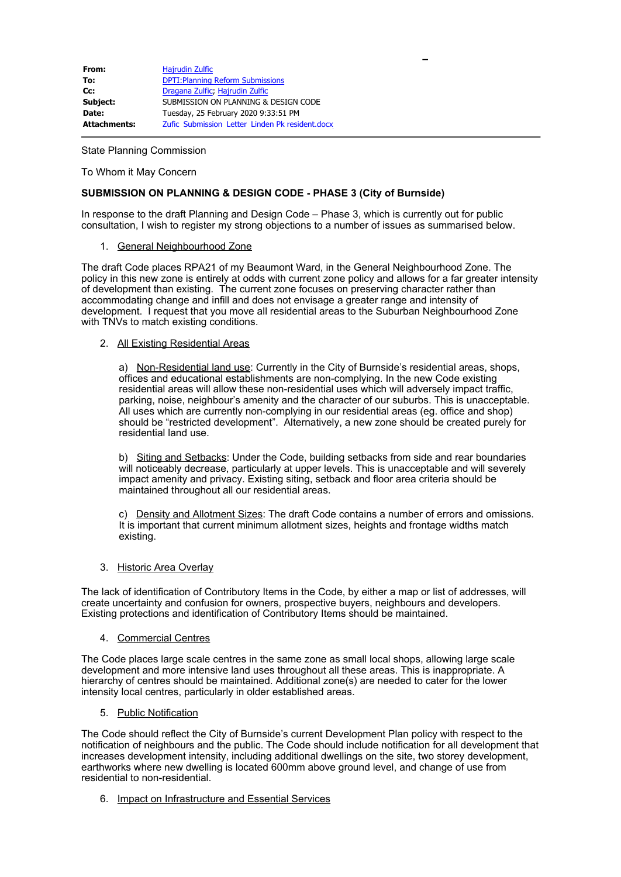| From:               | Hajrudin Zulfic                                 |
|---------------------|-------------------------------------------------|
| To:                 | <b>DPTI: Planning Reform Submissions</b>        |
| $Cc$ :              | Dragana Zulfic, Hajrudin Zulfic                 |
| Subject:            | SUBMISSION ON PLANNING & DESIGN CODE            |
| Date:               | Tuesday, 25 February 2020 9:33:51 PM            |
| <b>Attachments:</b> | Zufic Submission Letter Linden Pk resident.docx |

State Planning Commission

To Whom it May Concern

### **SUBMISSION ON PLANNING & DESIGN CODE - PHASE 3 (City of Burnside)**

In response to the draft Planning and Design Code – Phase 3, which is currently out for public consultation, I wish to register my strong objections to a number of issues as summarised below.

#### 1. General Neighbourhood Zone

The draft Code places RPA21 of my Beaumont Ward, in the General Neighbourhood Zone. The policy in this new zone is entirely at odds with current zone policy and allows for a far greater intensity of development than existing. The current zone focuses on preserving character rather than accommodating change and infill and does not envisage a greater range and intensity of development. I request that you move all residential areas to the Suburban Neighbourhood Zone with TNVs to match existing conditions.

#### 2. All Existing Residential Areas

a) Non-Residential land use: Currently in the City of Burnside's residential areas, shops, offices and educational establishments are non-complying. In the new Code existing residential areas will allow these non-residential uses which will adversely impact traffic, parking, noise, neighbour's amenity and the character of our suburbs. This is unacceptable. All uses which are currently non-complying in our residential areas (eg. office and shop) should be "restricted development". Alternatively, a new zone should be created purely for residential land use.

b) Siting and Setbacks: Under the Code, building setbacks from side and rear boundaries will noticeably decrease, particularly at upper levels. This is unacceptable and will severely impact amenity and privacy. Existing siting, setback and floor area criteria should be maintained throughout all our residential areas.

c) Density and Allotment Sizes: The draft Code contains a number of errors and omissions. It is important that current minimum allotment sizes, heights and frontage widths match existing.

#### 3. Historic Area Overlay

The lack of identification of Contributory Items in the Code, by either a map or list of addresses, will create uncertainty and confusion for owners, prospective buyers, neighbours and developers. Existing protections and identification of Contributory Items should be maintained.

#### 4. Commercial Centres

The Code places large scale centres in the same zone as small local shops, allowing large scale development and more intensive land uses throughout all these areas. This is inappropriate. A hierarchy of centres should be maintained. Additional zone(s) are needed to cater for the lower intensity local centres, particularly in older established areas.

#### 5. Public Notification

The Code should reflect the City of Burnside's current Development Plan policy with respect to the notification of neighbours and the public. The Code should include notification for all development that increases development intensity, including additional dwellings on the site, two storey development, earthworks where new dwelling is located 600mm above ground level, and change of use from residential to non-residential.

6. Impact on Infrastructure and Essential Services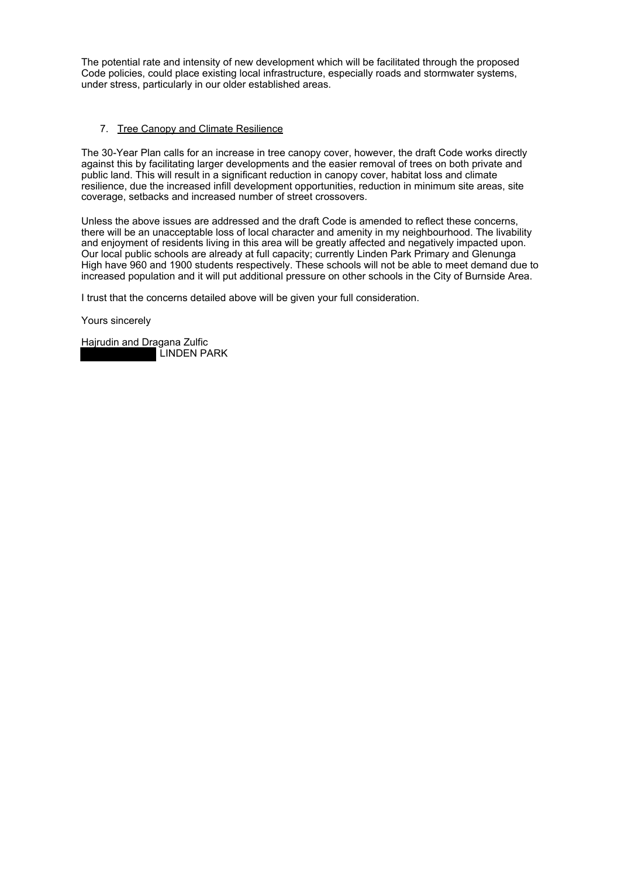The potential rate and intensity of new development which will be facilitated through the proposed Code policies, could place existing local infrastructure, especially roads and stormwater systems, under stress, particularly in our older established areas.

### 7. Tree Canopy and Climate Resilience

The 30-Year Plan calls for an increase in tree canopy cover, however, the draft Code works directly against this by facilitating larger developments and the easier removal of trees on both private and public land. This will result in a significant reduction in canopy cover, habitat loss and climate resilience, due the increased infill development opportunities, reduction in minimum site areas, site coverage, setbacks and increased number of street crossovers.

Unless the above issues are addressed and the draft Code is amended to reflect these concerns, there will be an unacceptable loss of local character and amenity in my neighbourhood. The livability and enjoyment of residents living in this area will be greatly affected and negatively impacted upon. Our local public schools are already at full capacity; currently Linden Park Primary and Glenunga High have 960 and 1900 students respectively. These schools will not be able to meet demand due to increased population and it will put additional pressure on other schools in the City of Burnside Area.

I trust that the concerns detailed above will be given your full consideration.

Yours sincerely

Hajrudin and Dragana Zulfic LINDEN PARK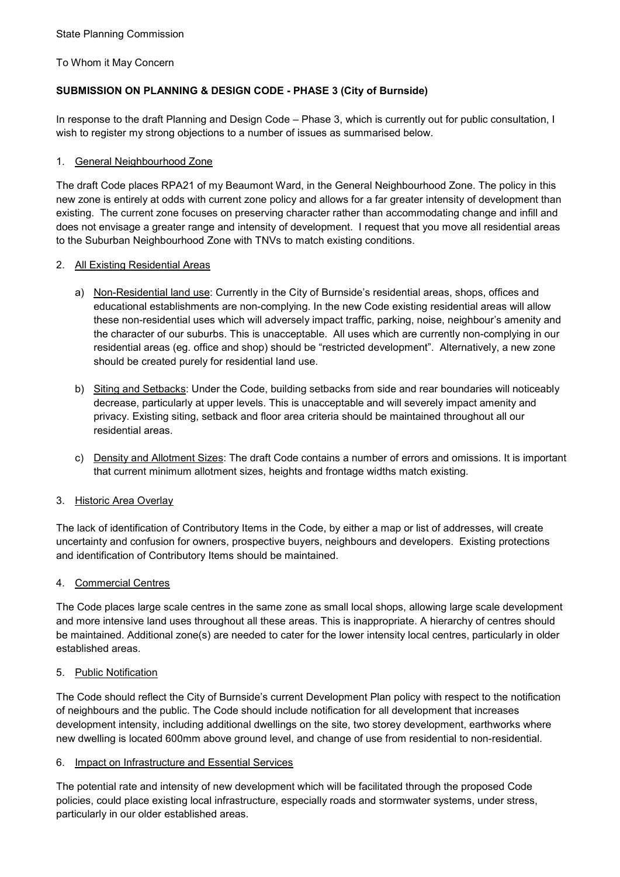To Whom it May Concern

# **SUBMISSION ON PLANNING & DESIGN CODE - PHASE 3 (City of Burnside)**

In response to the draft Planning and Design Code – Phase 3, which is currently out for public consultation, I wish to register my strong objections to a number of issues as summarised below.

## 1. General Neighbourhood Zone

The draft Code places RPA21 of my Beaumont Ward, in the General Neighbourhood Zone. The policy in this new zone is entirely at odds with current zone policy and allows for a far greater intensity of development than existing. The current zone focuses on preserving character rather than accommodating change and infill and does not envisage a greater range and intensity of development. I request that you move all residential areas to the Suburban Neighbourhood Zone with TNVs to match existing conditions.

## 2. All Existing Residential Areas

- a) Non-Residential land use: Currently in the City of Burnside's residential areas, shops, offices and educational establishments are non-complying. In the new Code existing residential areas will allow these non-residential uses which will adversely impact traffic, parking, noise, neighbour's amenity and the character of our suburbs. This is unacceptable. All uses which are currently non-complying in our residential areas (eg. office and shop) should be "restricted development". Alternatively, a new zone should be created purely for residential land use.
- b) Siting and Setbacks: Under the Code, building setbacks from side and rear boundaries will noticeably decrease, particularly at upper levels. This is unacceptable and will severely impact amenity and privacy. Existing siting, setback and floor area criteria should be maintained throughout all our residential areas.
- c) Density and Allotment Sizes: The draft Code contains a number of errors and omissions. It is important that current minimum allotment sizes, heights and frontage widths match existing.

# 3. Historic Area Overlay

The lack of identification of Contributory Items in the Code, by either a map or list of addresses, will create uncertainty and confusion for owners, prospective buyers, neighbours and developers. Existing protections and identification of Contributory Items should be maintained.

## 4. Commercial Centres

The Code places large scale centres in the same zone as small local shops, allowing large scale development and more intensive land uses throughout all these areas. This is inappropriate. A hierarchy of centres should be maintained. Additional zone(s) are needed to cater for the lower intensity local centres, particularly in older established areas.

## 5. Public Notification

The Code should reflect the City of Burnside's current Development Plan policy with respect to the notification of neighbours and the public. The Code should include notification for all development that increases development intensity, including additional dwellings on the site, two storey development, earthworks where new dwelling is located 600mm above ground level, and change of use from residential to non-residential.

## 6. Impact on Infrastructure and Essential Services

The potential rate and intensity of new development which will be facilitated through the proposed Code policies, could place existing local infrastructure, especially roads and stormwater systems, under stress, particularly in our older established areas.